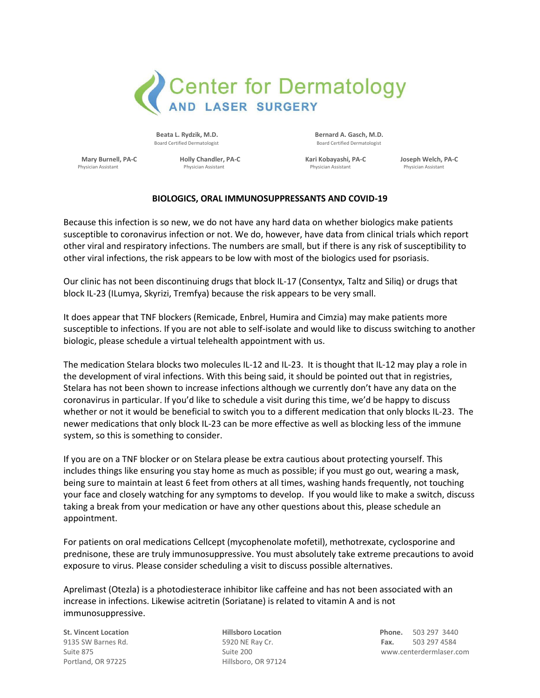

Beata L. Rydzik, M.D. **Beata L. Rydzik, M.D.** Bernard A. Gasch, M.D. Board Certified Dermatologist Board Certified Dermatologist

**Mary Burnell, PA-C Holly Chandler, PA-C Kari Kobayashi, PA-C Joseph Welch, PA-C**  Physician Assistant Physician Assistant Physician Assistant Physician Assistant

## **BIOLOGICS, ORAL IMMUNOSUPPRESSANTS AND COVID-19**

Because this infection is so new, we do not have any hard data on whether biologics make patients susceptible to coronavirus infection or not. We do, however, have data from clinical trials which report other viral and respiratory infections. The numbers are small, but if there is any risk of susceptibility to other viral infections, the risk appears to be low with most of the biologics used for psoriasis.

Our clinic has not been discontinuing drugs that block IL-17 (Consentyx, Taltz and Siliq) or drugs that block IL-23 (ILumya, Skyrizi, Tremfya) because the risk appears to be very small.

It does appear that TNF blockers (Remicade, Enbrel, Humira and Cimzia) may make patients more susceptible to infections. If you are not able to self-isolate and would like to discuss switching to another biologic, please schedule a virtual telehealth appointment with us.

The medication Stelara blocks two molecules IL-12 and IL-23. It is thought that IL-12 may play a role in the development of viral infections. With this being said, it should be pointed out that in registries, Stelara has not been shown to increase infections although we currently don't have any data on the coronavirus in particular. If you'd like to schedule a visit during this time, we'd be happy to discuss whether or not it would be beneficial to switch you to a different medication that only blocks IL-23. The newer medications that only block IL-23 can be more effective as well as blocking less of the immune system, so this is something to consider.

If you are on a TNF blocker or on Stelara please be extra cautious about protecting yourself. This includes things like ensuring you stay home as much as possible; if you must go out, wearing a mask, being sure to maintain at least 6 feet from others at all times, washing hands frequently, not touching your face and closely watching for any symptoms to develop. If you would like to make a switch, discuss taking a break from your medication or have any other questions about this, please schedule an appointment.

For patients on oral medications Cellcept (mycophenolate mofetil), methotrexate, cyclosporine and prednisone, these are truly immunosuppressive. You must absolutely take extreme precautions to avoid exposure to virus. Please consider scheduling a visit to discuss possible alternatives.

Aprelimast (Otezla) is a photodiesterace inhibitor like caffeine and has not been associated with an increase in infections. Likewise acitretin (Soriatane) is related to vitamin A and is not immunosuppressive.

Portland, OR 97225 Hillsboro, OR 97124

**St. Vincent Location Hillsboro Location Phone.** 503 297 3440 9135 SW Barnes Rd. 5920 NE Ray Cr. **Fax.** 503 297 4584 Suite 875 Suite 200 www.centerdermlaser.com